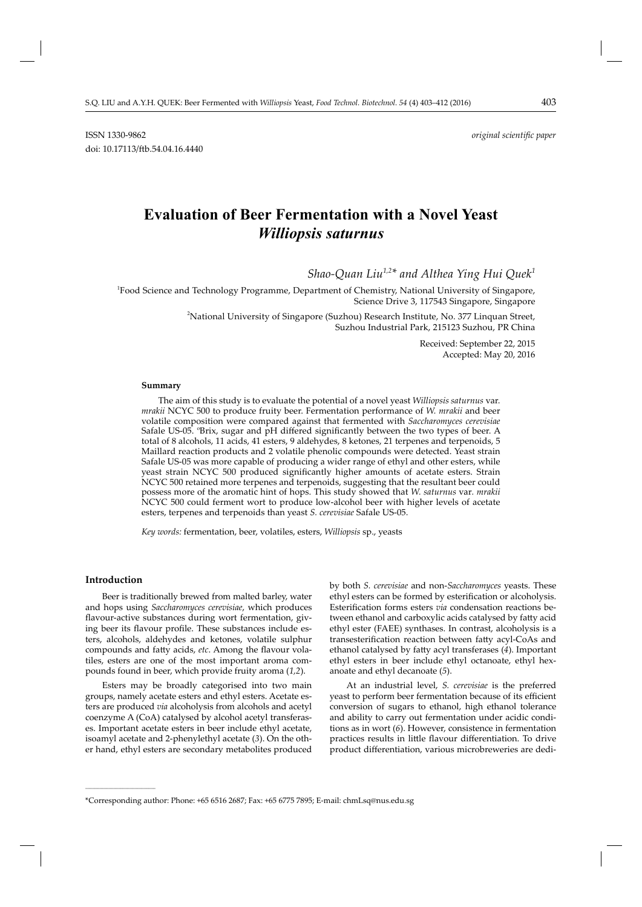ISSN 1330-9862 *original scientifi c paper* doi: 10.17113/ftb.54.04.16.4440

# **Evaluation of Beer Fermentation with a Novel Yeast** *Williopsis saturnus*

*Shao-Quan Liu1,2\* and Althea Ying Hui Quek1*

<sup>1</sup>Food Science and Technology Programme, Department of Chemistry, National University of Singapore, Science Drive 3, 117543 Singapore, Singapore

> 2 National University of Singapore (Suzhou) Research Institute, No. 377 Linquan Street, Suzhou Industrial Park, 215123 Suzhou, PR China

> > Received: September 22, 2015 Accepted: May 20, 2016

#### **Summary**

The aim of this study is to evaluate the potential of a novel yeast *Williopsis saturnus* var. *mrakii* NCYC 500 to produce fruity beer. Fermentation performance of *W. mrakii* and beer volatile composition were compared against that fermented with *Saccharomyces cerevisiae* Safale US-05. °Brix, sugar and pH differed significantly between the two types of beer. A total of 8 alcohols, 11 acids, 41 esters, 9 aldehydes, 8 ketones, 21 terpenes and terpenoids, 5 Maillard reaction products and 2 volatile phenolic compounds were detected. Yeast strain Safale US-05 was more capable of producing a wider range of ethyl and other esters, while yeast strain NCYC 500 produced significantly higher amounts of acetate esters. Strain NCYC 500 retained more terpenes and terpenoids, suggesting that the resultant beer could possess more of the aromatic hint of hops. This study showed that *W. saturnus* var*. mrakii*  NCYC 500 could ferment wort to produce low-alcohol beer with higher levels of acetate esters, terpenes and terpenoids than yeast *S. cerevisiae* Safale US-05.

*Key words:* fermentation, beer, volatiles, esters, *Williopsis* sp., yeasts

## **Introduction**

**\_\_\_\_\_\_\_\_\_\_\_\_\_\_\_\_\_\_\_\_\_\_\_\_\_\_\_\_\_\_**

Beer is traditionally brewed from malted barley, water and hops using *Saccharomyces cerevisiae*, which produces flavour-active substances during wort fermentation, giving beer its flavour profile. These substances include esters, alcohols, aldehydes and ketones, volatile sulphur compounds and fatty acids, etc. Among the flavour volatiles, esters are one of the most important aroma compounds found in beer, which provide fruity aroma (*1,2*).

Esters may be broadly categorised into two main groups, namely acetate esters and ethyl esters. Acetate esters are produced *via* alcoholysis from alcohols and acetyl coenzyme A (CoA) catalysed by alcohol acetyl transferases. Important acetate esters in beer include ethyl acetate, isoamyl acetate and 2-phenylethyl acetate (*3*). On the other hand, ethyl esters are secondary metabolites produced by both *S. cerevisiae* and non-*Saccharomyces* yeasts. These ethyl esters can be formed by esterification or alcoholysis. Esterification forms esters *via* condensation reactions between ethanol and carboxylic acids catalysed by fatty acid ethyl ester (FAEE) synthases. In contrast, alcoholysis is a transesterification reaction between fatty acyl-CoAs and ethanol catalysed by fatty acyl transferases (4). Important ethyl esters in beer include ethyl octanoate, ethyl hexanoate and ethyl decanoate (*5*).

At an industrial level, *S. cerevisiae* is the preferred yeast to perform beer fermentation because of its efficient conversion of sugars to ethanol, high ethanol tolerance and ability to carry out fermentation under acidic conditions as in wort (*6*). However, consistence in fermentation practices results in little flavour differentiation. To drive product differentiation, various microbreweries are dedi-

<sup>\*</sup>Corresponding author: Phone: +65 6516 2687; Fax: +65 6775 7895; E-mail: chmLsq@nus.edu.sg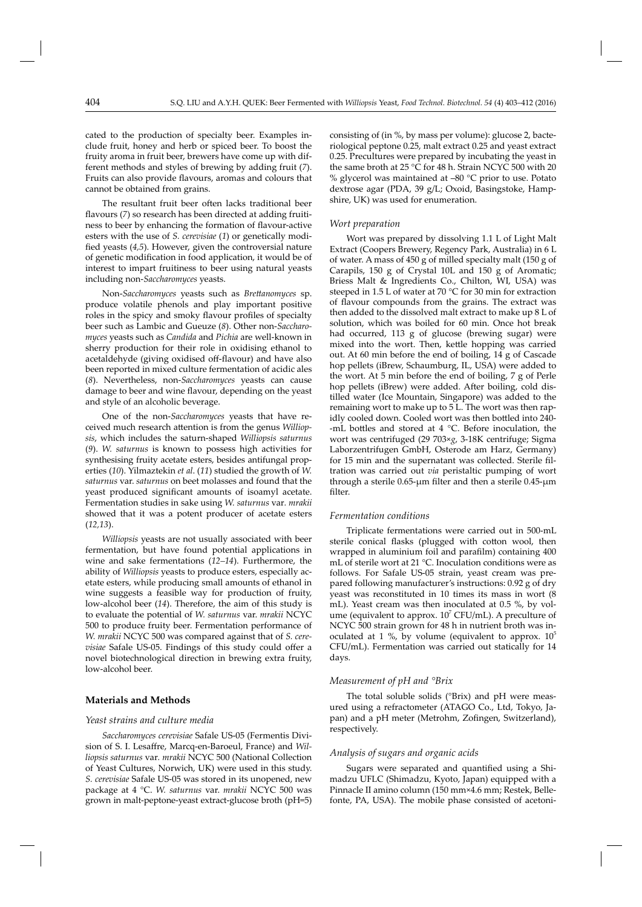cated to the production of specialty beer. Examples include fruit, honey and herb or spiced beer. To boost the fruity aroma in fruit beer, brewers have come up with different methods and styles of brewing by adding fruit (*7*). Fruits can also provide flavours, aromas and colours that cannot be obtained from grains.

The resultant fruit beer often lacks traditional beer flavours (7) so research has been directed at adding fruitiness to beer by enhancing the formation of flavour-active esters with the use of *S. cerevisiae* (*1*) or genetically modified yeasts (4,5). However, given the controversial nature of genetic modification in food application, it would be of interest to impart fruitiness to beer using natural yeasts including non-*Saccharomyces* yeasts.

Non-*Saccharomyces* yeasts such as *Brett anomyces* sp. produce volatile phenols and play important positive roles in the spicy and smoky flavour profiles of specialty beer such as Lambic and Gueuze (*8*). Other non-*Saccharomyces* yeasts such as *Candida* and *Pichia* are well-known in sherry production for their role in oxidising ethanol to acetaldehyde (giving oxidised off-flavour) and have also been reported in mixed culture fermentation of acidic ales (*8*). Nevertheless, non-*Saccharomyces* yeasts can cause damage to beer and wine flavour, depending on the yeast and style of an alcoholic beverage.

One of the non-*Saccharomyces* yeasts that have received much research attention is from the genus *Williopsis*, which includes the saturn-shaped *Williopsis saturnus* (*9*). *W. saturnus* is known to possess high activities for synthesising fruity acetate esters, besides antifungal properties (*10*). Yilmaztekin *et al*. (*11*) studied the growth of *W. saturnus* var. *saturnus* on beet molasses and found that the yeast produced significant amounts of isoamyl acetate. Fermentation studies in sake using *W. saturnus* var*. mrakii*  showed that it was a potent producer of acetate esters (*12,13*).

*Williopsis* yeasts are not usually associated with beer fermentation, but have found potential applications in wine and sake fermentations (*12–14*). Furthermore, the ability of *Williopsis* yeasts to produce esters, especially acetate esters, while producing small amounts of ethanol in wine suggests a feasible way for production of fruity, low-alcohol beer (*14*). Therefore, the aim of this study is to evaluate the potential of *W. saturnus* var. *mrakii* NCYC 500 to produce fruity beer. Fermentation performance of *W. mrakii* NCYC 500 was compared against that of *S. cerevisiae* Safale US-05. Findings of this study could offer a novel biotechnological direction in brewing extra fruity, low-alcohol beer.

## **Materials and Methods**

#### *Yeast strains and culture media*

*Saccharomyces cerevisiae* Safale US-05 (Fermentis Division of S. I. Lesaffre, Marcq-en-Baroeul, France) and *Williopsis saturnus* var*. mrakii* NCYC 500 (National Collection of Yeast Cultures, Norwich, UK) were used in this study. *S. cerevisiae* Safale US-05 was stored in its unopened, new package at 4 °C. *W. saturnus* var. *mrakii* NCYC 500 was grown in malt-peptone-yeast extract-glucose broth (pH=5) consisting of (in %, by mass per volume): glucose 2, bacteriological peptone 0.25, malt extract 0.25 and yeast extract 0.25. Precultures were prepared by incubating the yeast in the same broth at 25 °C for 48 h. Strain NCYC 500 with 20 % glycerol was maintained at  $-80$  °C prior to use. Potato dextrose agar (PDA, 39 g/L; Oxoid, Basingstoke, Hampshire, UK) was used for enumeration.

#### *Wort preparation*

Wort was prepared by dissolving 1.1 L of Light Malt Extract (Coopers Brewery, Regency Park, Australia) in 6 L of water. A mass of 450 g of milled specialty malt (150 g of Carapils, 150 g of Crystal 10L and 150 g of Aromatic; Briess Malt & Ingredients Co., Chilton, WI, USA) was steeped in 1.5 L of water at 70 °C for 30 min for extraction of flavour compounds from the grains. The extract was then added to the dissolved malt extract to make up 8 L of solution, which was boiled for 60 min. Once hot break had occurred, 113 g of glucose (brewing sugar) were mixed into the wort. Then, kettle hopping was carried out. At 60 min before the end of boiling, 14 g of Cascade hop pellets (iBrew, Schaumburg, IL, USA) were added to the wort. At 5 min before the end of boiling, 7 g of Perle hop pellets (iBrew) were added. After boiling, cold distilled water (Ice Mountain, Singapore) was added to the remaining wort to make up to 5 L. The wort was then rapidly cooled down. Cooled wort was then bottled into 240--mL bottles and stored at 4 °C. Before inoculation, the wort was centrifuged (29 703×*g*, 3-18K centrifuge; Sigma Laborzentrifugen GmbH, Osterode am Harz, Germany) for 15 min and the supernatant was collected. Sterile filtration was carried out *via* peristaltic pumping of wort through a sterile  $0.65$ - $\mu$ m filter and then a sterile  $0.45$ - $\mu$ m filter.

#### *Fermentation conditions*

Triplicate fermentations were carried out in 500-mL sterile conical flasks (plugged with cotton wool, then wrapped in aluminium foil and parafilm) containing 400 mL of sterile wort at 21 °C. Inoculation conditions were as follows. For Safale US-05 strain, yeast cream was prepared following manufacturer's instructions: 0.92 g of dry yeast was reconstituted in 10 times its mass in wort (8 mL). Yeast cream was then inoculated at 0.5 %, by volume (equivalent to approx.  $10^7$  CFU/mL). A preculture of NCYC 500 strain grown for 48 h in nutrient broth was inoculated at 1 %, by volume (equivalent to approx.  $10^5$ CFU/mL). Fermentation was carried out statically for 14 days.

#### *Measurement of pH and °Brix*

The total soluble solids (°Brix) and pH were measured using a refractometer (ATAGO Co., Ltd, Tokyo, Japan) and a pH meter (Metrohm, Zofingen, Switzerland), respectively.

#### *Analysis of sugars and organic acids*

Sugars were separated and quantified using a Shimadzu UFLC (Shimadzu, Kyoto, Japan) equipped with a Pinnacle II amino column (150 mm×4.6 mm; Restek, Bellefonte, PA, USA). The mobile phase consisted of acetoni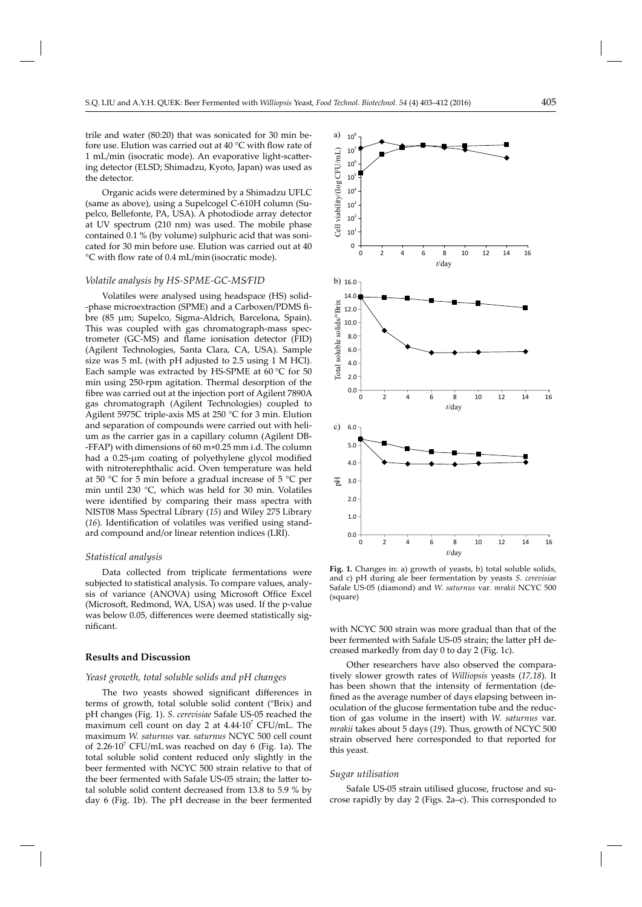trile and water (80:20) that was sonicated for 30 min before use. Elution was carried out at 40 °C with flow rate of 1 mL/min (isocratic mode). An evaporative light-scattering detector (ELSD; Shimadzu, Kyoto, Japan) was used as the detector.

Organic acids were determined by a Shimadzu UFLC (same as above), using a Supelcogel C-610H column (Supelco, Bellefonte, PA, USA). A photodiode array detector at UV spectrum (210 nm) was used. The mobile phase contained 0.1 % (by volume) sulphuric acid that was sonicated for 30 min before use. Elution was carried out at 40 °C with flow rate of 0.4 mL/min(isocratic mode).

#### *Volatile analysis by HS-SPME-GC-MS⁄FID*

Volatiles were analysed using headspace (HS) solid- -phase microextraction (SPME) and a Carboxen/PDMS fibre (85 μm; Supelco, Sigma-Aldrich, Barcelona, Spain). This was coupled with gas chromatograph-mass spectrometer (GC-MS) and flame ionisation detector (FID) (Agilent Technologies, Santa Clara, CA, USA). Sample size was 5 mL (with pH adjusted to 2.5 using 1 M HCl). Each sample was extracted by HS-SPME at 60 °C for 50 min using 250-rpm agitation. Thermal desorption of the fibre was carried out at the injection port of Agilent 7890A gas chromatograph (Agilent Technologies) coupled to Agilent 5975C triple-axis MS at 250 °C for 3 min. Elution and separation of compounds were carried out with helium as the carrier gas in a capillary column (Agilent DB- -FFAP) with dimensions of 60 m×0.25 mm i.d. The column had a  $0.25$ - $\mu$ m coating of polyethylene glycol modified with nitroterephthalic acid. Oven temperature was held at 50 °C for 5 min before a gradual increase of 5 °C per min until 230 °C, which was held for 30 min. Volatiles were identified by comparing their mass spectra with NIST08 Mass Spectral Library (*15*) and Wiley 275 Library (16). Identification of volatiles was verified using standard compound and/or linear retention indices (LRI).

#### *Statistical analysis*

Data collected from triplicate fermentations were subjected to statistical analysis. To compare values, analysis of variance (ANOVA) using Microsoft Office Excel (Microsoft, Redmond, WA, USA) was used. If the p-value was below 0.05, differences were deemed statistically significant.

### **Results and Discussion**

#### *Yeast growth, total soluble solids and pH changes*

The two yeasts showed significant differences in terms of growth, total soluble solid content (°Brix) and pH changes (Fig. 1). *S. cerevisiae* Safale US-05 reached the maximum cell count on day 2 at  $4.44 \cdot 10^7$  CFU/mL. The maximum *W. saturnus* var. *saturnus* NCYC 500 cell count of 2.26 $\cdot$ 10<sup>7</sup> CFU/mL was reached on day 6 (Fig. 1a). The total soluble solid content reduced only slightly in the beer fermented with NCYC 500 strain relative to that of the beer fermented with Safale US-05 strain; the latter total soluble solid content decreased from 13.8 to 5.9 % by day 6 (Fig. 1b). The pH decrease in the beer fermented



 **Fig. 1.** Changes in: a) growth of yeasts, b) total soluble solids, and c) pH during ale beer fermentation by yeasts *S. cerevisiae*  Safale US-05 (diamond) and *W. saturnus* var*. mrakii* NCYC 500 (square)

with NCYC 500 strain was more gradual than that of the beer fermented with Safale US-05 strain; the latter pH decreased markedly from day 0 to day 2 (Fig. 1c).

Other researchers have also observed the comparatively slower growth rates of *Williopsis* yeasts (*17,18*). It has been shown that the intensity of fermentation (defined as the average number of days elapsing between inoculation of the glucose fermentation tube and the reduction of gas volume in the insert) with *W. saturnus* var. *mrakii* takes about 5 days (*19*). Thus, growth of NCYC 500 strain observed here corresponded to that reported for this yeast.

#### *Sugar utilisation*

Safale US-05 strain utilised glucose, fructose and sucrose rapidly by day 2 (Figs. 2a–c). This corresponded to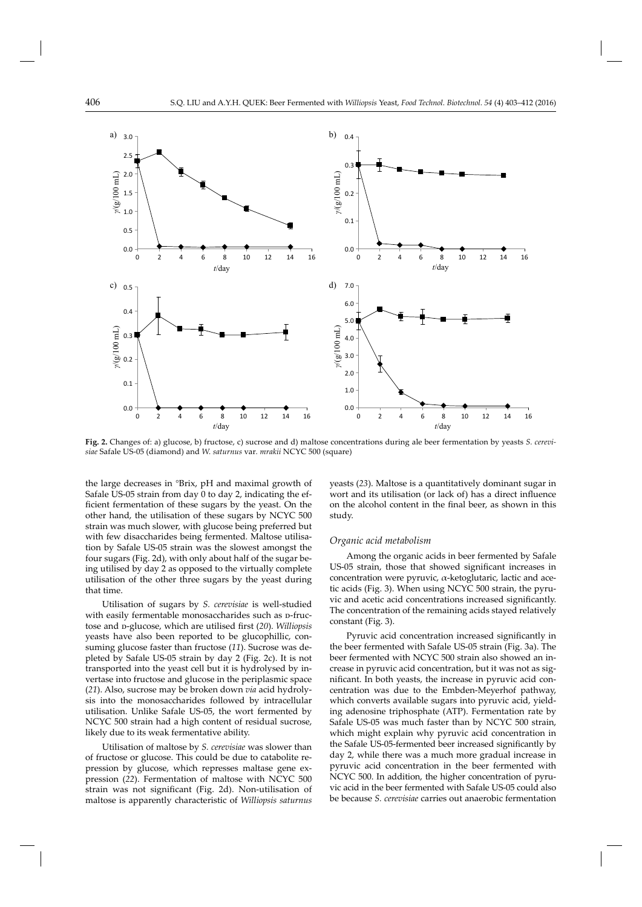

**Fig. 2.** Changes of: a) glucose, b) fructose, c) sucrose and d) maltose concentrations during ale beer fermentation by yeasts *S. cerevisiae* Safale US-05 (diamond) and *W. saturnus* var*. mrakii* NCYC 500 (square)

the large decreases in °Brix, pH and maximal growth of Safale US-05 strain from day 0 to day 2, indicating the efficient fermentation of these sugars by the yeast. On the other hand, the utilisation of these sugars by NCYC 500 strain was much slower, with glucose being preferred but with few disaccharides being fermented. Maltose utilisation by Safale US-05 strain was the slowest amongst the four sugars (Fig. 2d), with only about half of the sugar being utilised by day 2 as opposed to the virtually complete utilisation of the other three sugars by the yeast during that time.

Utilisation of sugars by *S. cerevisiae* is well-studied with easily fermentable monosaccharides such as p-fructose and p-glucose, which are utilised first (20). *Williopsis* yeasts have also been reported to be glucophillic, consuming glucose faster than fructose (*11*). Sucrose was depleted by Safale US-05 strain by day 2 (Fig. 2c). It is not transported into the yeast cell but it is hydrolysed by invertase into fructose and glucose in the periplasmic space (*21*). Also, sucrose may be broken down *via* acid hydrolysis into the monosaccharides followed by intracellular utilisation. Unlike Safale US-05, the wort fermented by NCYC 500 strain had a high content of residual sucrose, likely due to its weak fermentative ability.

Utilisation of maltose by *S. cerevisiae* was slower than of fructose or glucose. This could be due to catabolite repression by glucose, which represses maltase gene expression (*22*). Fermentation of maltose with NCYC 500 strain was not significant (Fig. 2d). Non-utilisation of maltose is apparently characteristic of *Williopsis saturnus* 

yeasts (*23*). Maltose is a quantitatively dominant sugar in wort and its utilisation (or lack of) has a direct influence on the alcohol content in the final beer, as shown in this study.

#### *Organic acid metabolism*

Among the organic acids in beer fermented by Safale US-05 strain, those that showed significant increases in concentration were pyruvic, α-ketoglutaric, lactic and acetic acids (Fig. 3). When using NCYC 500 strain, the pyruvic and acetic acid concentrations increased significantly. The concentration of the remaining acids stayed relatively constant (Fig. 3).

Pyruvic acid concentration increased significantly in the beer fermented with Safale US-05 strain (Fig. 3a). The beer fermented with NCYC 500 strain also showed an increase in pyruvic acid concentration, but it was not as significant. In both yeasts, the increase in pyruvic acid concentration was due to the Embden-Meyerhof pathway, which converts available sugars into pyruvic acid, yielding adenosine triphosphate (ATP). Fermentation rate by Safale US-05 was much faster than by NCYC 500 strain, which might explain why pyruvic acid concentration in the Safale US-05-fermented beer increased significantly by day 2, while there was a much more gradual increase in pyruvic acid concentration in the beer fermented with NCYC 500. In addition, the higher concentration of pyruvic acid in the beer fermented with Safale US-05 could also be because *S. cerevisiae* carries out anaerobic fermentation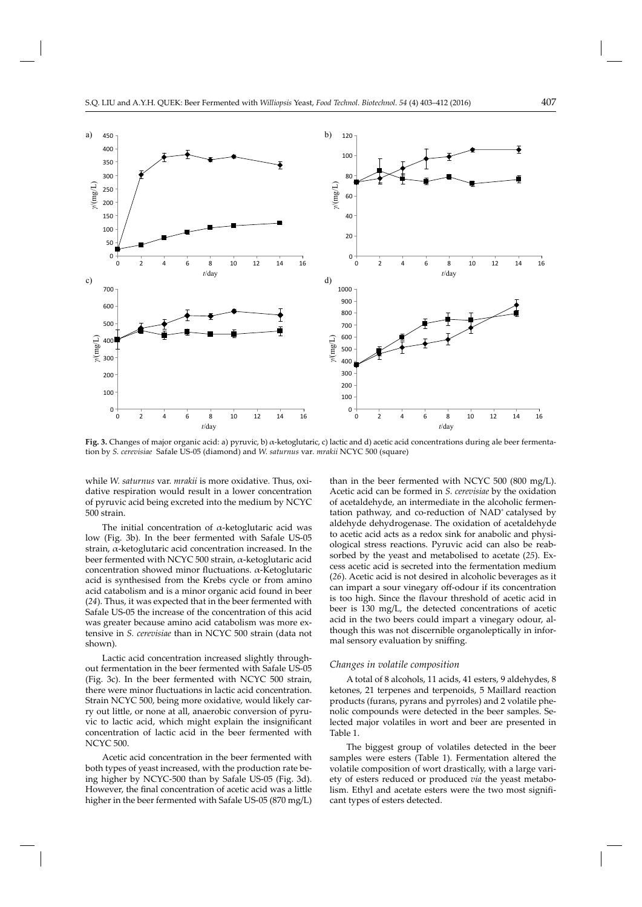

**Fig. 3.** Changes of major organic acid: a) pyruvic, b) α-ketoglutaric, c) lactic and d) acetic acid concentrations during ale beer fermentation by *S. cerevisiae* Safale US-05 (diamond) and *W. saturnus* var*. mrakii* NCYC 500 (square)

while *W. saturnus* var. *mrakii* is more oxidative. Thus, oxidative respiration would result in a lower concentration of pyruvic acid being excreted into the medium by NCYC 500 strain.

The initial concentration of  $\alpha$ -ketoglutaric acid was low (Fig. 3b). In the beer fermented with Safale US-05 strain, α-ketoglutaric acid concentration increased. In the beer fermented with NCYC 500 strain, α-ketoglutaric acid concentration showed minor fluctuations.  $α$ -Ketoglutaric acid is synthesised from the Krebs cycle or from amino acid catabolism and is a minor organic acid found in beer (*24*). Thus, it was expected that in the beer fermented with Safale US-05 the increase of the concentration of this acid was greater because amino acid catabolism was more extensive in *S. cerevisiae* than in NCYC 500 strain (data not shown).

Lactic acid concentration increased slightly throughout fermentation in the beer fermented with Safale US-05 (Fig. 3c). In the beer fermented with NCYC 500 strain, there were minor fluctuations in lactic acid concentration. Strain NCYC 500, being more oxidative, would likely carry out little, or none at all, anaerobic conversion of pyruvic to lactic acid, which might explain the insignificant concentration of lactic acid in the beer fermented with NCYC 500.

Acetic acid concentration in the beer fermented with both types of yeast increased, with the production rate being higher by NCYC-500 than by Safale US-05 (Fig. 3d). However, the final concentration of acetic acid was a little higher in the beer fermented with Safale US-05 (870 mg/L)

than in the beer fermented with NCYC 500 (800 mg/L). Acetic acid can be formed in *S. cerevisiae* by the oxidation of acetaldehyde, an intermediate in the alcoholic fermentation pathway, and co-reduction of  $NAD<sup>+</sup>$  catalysed by aldehyde dehydrogenase. The oxidation of acetaldehyde to acetic acid acts as a redox sink for anabolic and physiological stress reactions. Pyruvic acid can also be reabsorbed by the yeast and metabolised to acetate (*25*). Excess acetic acid is secreted into the fermentation medium (*26*). Acetic acid is not desired in alcoholic beverages as it can impart a sour vinegary off -odour if its concentration is too high. Since the flavour threshold of acetic acid in beer is 130 mg/L, the detected concentrations of acetic acid in the two beers could impart a vinegary odour, although this was not discernible organoleptically in informal sensory evaluation by sniffing.

#### *Changes in volatile composition*

A total of 8 alcohols, 11 acids, 41 esters, 9 aldehydes, 8 ketones, 21 terpenes and terpenoids, 5 Maillard reaction products (furans, pyrans and pyrroles) and 2 volatile phenolic compounds were detected in the beer samples. Selected major volatiles in wort and beer are presented in Table 1.

The biggest group of volatiles detected in the beer samples were esters (Table 1). Fermentation altered the volatile composition of wort drastically, with a large variety of esters reduced or produced *via* the yeast metabolism. Ethyl and acetate esters were the two most significant types of esters detected.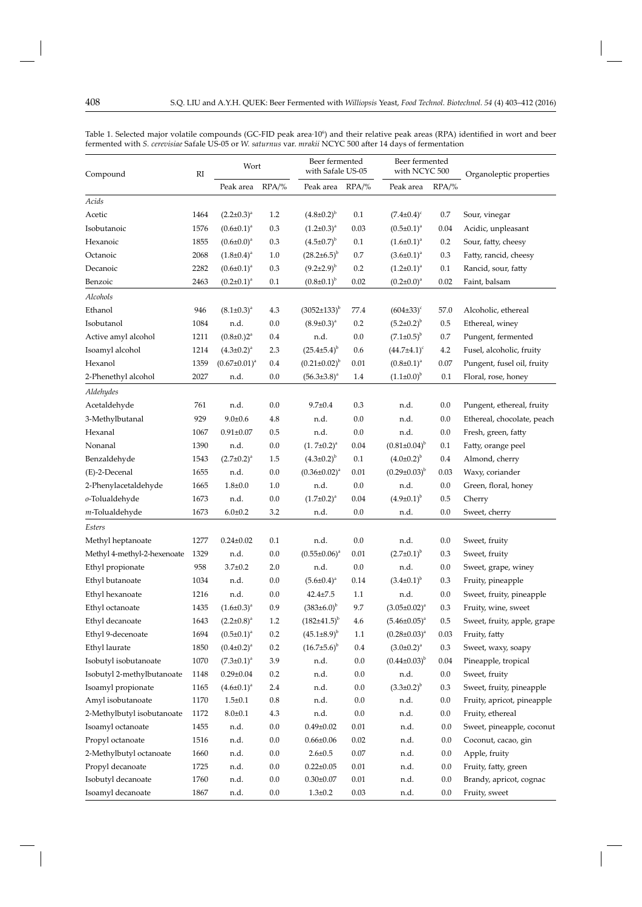| Compound                    | RI   | Wort                       |          | Beer fermented<br>with Safale US-05 |          | Beer fermented<br>with NCYC 500 |          | Organoleptic properties     |
|-----------------------------|------|----------------------------|----------|-------------------------------------|----------|---------------------------------|----------|-----------------------------|
|                             |      | Peak area                  | $RPA/\%$ | Peak area                           | $RPA/\%$ | Peak area                       | $RPA/\%$ |                             |
| Acids                       |      |                            |          |                                     |          |                                 |          |                             |
| Acetic                      | 1464 | $(2.2 \pm 0.3)^a$          | 1.2      | $(4.8 \pm 0.2)^{b}$                 | 0.1      | $(7.4 \pm 0.4)^c$               | 0.7      | Sour, vinegar               |
| Isobutanoic                 | 1576 | $(0.6 \pm 0.1)^a$          | 0.3      | $(1.2\pm0.3)^{a}$                   | 0.03     | $(0.5 \pm 0.1)^a$               | 0.04     | Acidic, unpleasant          |
| Hexanoic                    | 1855 | $(0.6 \pm 0.0)^a$          | 0.3      | $(4.5 \pm 0.7)^{b}$                 | 0.1      | $(1.6 \pm 0.1)^a$               | 0.2      | Sour, fatty, cheesy         |
| Octanoic                    | 2068 | $(1.8\pm0.4)^a$            | 1.0      | $(28.2 \pm 6.5)^{b}$                | 0.7      | $(3.6 \pm 0.1)^a$               | 0.3      | Fatty, rancid, cheesy       |
| Decanoic                    | 2282 | $(0.6 \pm 0.1)^a$          | 0.3      | $(9.2\pm2.9)^{b}$                   | 0.2      | $(1.2\pm0.1)^a$                 | 0.1      | Rancid, sour, fatty         |
| Benzoic                     | 2463 | $(0.2 \pm 0.1)^a$          | 0.1      | $(0.8\pm0.1)^{b}$                   | 0.02     | $(0.2 \pm 0.0)^a$               | 0.02     | Faint, balsam               |
| Alcohols                    |      |                            |          |                                     |          |                                 |          |                             |
| Ethanol                     | 946  | $(8.1 \pm 0.3)^a$          | 4.3      | $(3052 \pm 133)^{b}$                | 77.4     | $(604\pm33)^c$                  | 57.0     | Alcoholic, ethereal         |
| Isobutanol                  | 1084 | n.d.                       | 0.0      | $(8.9 \pm 0.3)^a$                   | 0.2      | $(5.2 \pm 0.2)^{b}$             | 0.5      | Ethereal, winey             |
| Active amyl alcohol         | 1211 | $(0.8\pm0.2)$ <sup>a</sup> | 0.4      | n.d.                                | 0.0      | $(7.1 \pm 0.5)^{b}$             | 0.7      | Pungent, fermented          |
| Isoamyl alcohol             | 1214 | $(4.3 \pm 0.2)^{a}$        | 2.3      | $(25.4 \pm 5.4)^{b}$                | 0.6      | $(44.7 \pm 4.1)^c$              | 4.2      | Fusel, alcoholic, fruity    |
| Hexanol                     | 1359 | $(0.67 \pm 0.01)^a$        | 0.4      | $(0.21 \pm 0.02)^{b}$               | 0.01     | $(0.8 \pm 0.1)^a$               | 0.07     | Pungent, fusel oil, fruity  |
| 2-Phenethyl alcohol         | 2027 | n.d.                       | 0.0      | $(56.3 \pm 3.8)^a$                  | 1.4      | $(1.1\pm0.0)^{b}$               | 0.1      | Floral, rose, honey         |
| Aldehydes                   |      |                            |          |                                     |          |                                 |          |                             |
| Acetaldehyde                | 761  | n.d.                       | 0.0      | $9.7 \pm 0.4$                       | 0.3      | n.d.                            | 0.0      | Pungent, ethereal, fruity   |
| 3-Methylbutanal             | 929  | $9.0 \pm 0.6$              | 4.8      | n.d.                                | 0.0      | n.d.                            | 0.0      | Ethereal, chocolate, peach  |
| Hexanal                     | 1067 | $0.91 \pm 0.07$            | 0.5      | n.d.                                | 0.0      | n.d.                            | 0.0      | Fresh, green, fatty         |
| Nonanal                     | 1390 | n.d.                       | 0.0      | $(1.7\pm0.2)^{a}$                   | 0.04     | $(0.81 \pm 0.04)^{b}$           | 0.1      | Fatty, orange peel          |
| Benzaldehyde                | 1543 | $(2.7 \pm 0.2)^{a}$        | 1.5      | $(4.3 \pm 0.2)^{b}$                 | 0.1      | $(4.0\pm0.2)^{b}$               | 0.4      | Almond, cherry              |
| (E)-2-Decenal               | 1655 | n.d.                       | 0.0      | $(0.36 \pm 0.02)^a$                 | 0.01     | $(0.29 \pm 0.03)^{b}$           | 0.03     | Waxy, coriander             |
| 2-Phenylacetaldehyde        | 1665 | $1.8 \pm 0.0$              | $1.0\,$  | n.d.                                | 0.0      | n.d.                            | 0.0      | Green, floral, honey        |
| o-Tolualdehyde              | 1673 | n.d.                       | 0.0      | $(1.7\pm0.2)^{a}$                   | 0.04     | $(4.9\pm0.1)^{b}$               | 0.5      | Cherry                      |
| m-Tolualdehyde              | 1673 | $6.0 \pm 0.2$              | 3.2      | n.d.                                | 0.0      | n.d.                            | 0.0      | Sweet, cherry               |
| Esters                      |      |                            |          |                                     |          |                                 |          |                             |
| Methyl heptanoate           | 1277 | $0.24 \pm 0.02$            | 0.1      | n.d.                                | 0.0      | n.d.                            | 0.0      | Sweet, fruity               |
| Methyl 4-methyl-2-hexenoate | 1329 | n.d.                       | 0.0      | $(0.55 \pm 0.06)^a$                 | 0.01     | $(2.7 \pm 0.1)^{b}$             | 0.3      | Sweet, fruity               |
| Ethyl propionate            | 958  | $3.7 \pm 0.2$              | 2.0      | n.d.                                | 0.0      | n.d.                            | 0.0      | Sweet, grape, winey         |
| Ethyl butanoate             | 1034 | n.d.                       | 0.0      | $(5.6 \pm 0.4)^a$                   | 0.14     | $(3.4\pm0.1)^{b}$               | 0.3      | Fruity, pineapple           |
| Ethyl hexanoate             | 1216 | n.d.                       | 0.0      | $42.4 \pm 7.5$                      | 1.1      | n.d.                            | $0.0\,$  | Sweet, fruity, pineapple    |
| Ethyl octanoate             | 1435 | $(1.6 \pm 0.3)^{a}$        | $0.9\,$  | $(383\pm6.0)^{b}$                   | 9.7      | $(3.05 \pm 0.02)^a$             | 0.3      | Fruity, wine, sweet         |
| Ethyl decanoate             | 1643 | $(2.2 \pm 0.8)^{a}$        | 1.2      | $(182{\pm}41.5)^{b}$                | 4.6      | $(5.46 \pm 0.05)^{a}$           | $0.5\,$  | Sweet, fruity, apple, grape |
| Ethyl 9-decenoate           | 1694 | $(0.5 \pm 0.1)^a$          | $0.2\,$  | $(45.1\pm8.9)^{b}$                  | 1.1      | $(0.28 \pm 0.03)^a$             | 0.03     | Fruity, fatty               |
| Ethyl laurate               | 1850 | $(0.4 \pm 0.2)^{a}$        | 0.2      | $(16.7\pm5.6)^{b}$                  | $0.4\,$  | $(3.0 \pm 0.2)^a$               | 0.3      | Sweet, waxy, soapy          |
| Isobutyl isobutanoate       | 1070 | $(7.3 \pm 0.1)^a$          | 3.9      | n.d.                                | $0.0\,$  | $(0.44\pm0.03)^{b}$             | 0.04     | Pineapple, tropical         |
| Isobutyl 2-methylbutanoate  | 1148 | $0.29 \pm 0.04$            | 0.2      | n.d.                                | $0.0\,$  | n.d.                            | $0.0\,$  | Sweet, fruity               |
| Isoamyl propionate          | 1165 | $(4.6 \pm 0.1)^a$          | 2.4      | n.d.                                | $0.0\,$  | $(3.3 \pm 0.2)^{b}$             | 0.3      | Sweet, fruity, pineapple    |
| Amyl isobutanoate           | 1170 | $1.5 \pm 0.1$              | $0.8\,$  | n.d.                                | $0.0\,$  | n.d.                            | 0.0      | Fruity, apricot, pineapple  |
| 2-Methylbutyl isobutanoate  | 1172 | $8.0 + 0.1$                | 4.3      | n.d.                                | $0.0\,$  | n.d.                            | 0.0      | Fruity, ethereal            |
| Isoamyl octanoate           | 1455 | n.d.                       | $0.0\,$  | $0.49 \pm 0.02$                     | 0.01     | n.d.                            | 0.0      | Sweet, pineapple, coconut   |
| Propyl octanoate            | 1516 | n.d.                       | $0.0\,$  | $0.66 \pm 0.06$                     | 0.02     | n.d.                            | 0.0      | Coconut, cacao, gin         |
| 2-Methylbutyl octanoate     | 1660 | n.d.                       | $0.0\,$  | $2.6 \pm 0.5$                       | $0.07\,$ | n.d.                            | 0.0      | Apple, fruity               |
| Propyl decanoate            | 1725 | n.d.                       | $0.0\,$  | $0.22 \pm 0.05$                     | $0.01\,$ | n.d.                            | 0.0      | Fruity, fatty, green        |
| Isobutyl decanoate          | 1760 | n.d.                       | $0.0\,$  | $0.30 \pm 0.07$                     | $0.01\,$ | n.d.                            | $0.0\,$  | Brandy, apricot, cognac     |
| Isoamyl decanoate           | 1867 | n.d.                       | 0.0      | $1.3 \pm 0.2$                       | 0.03     | n.d.                            | 0.0      | Fruity, sweet               |

Table 1. Selected major volatile compounds (GC-FID peak area·10°) and their relative peak areas (RPA) identified in wort and beer fermented with *S. cerevisiae* Safale US-05 or *W. saturnus* var. *mrakii* NCYC 500 after 14 days of fermentation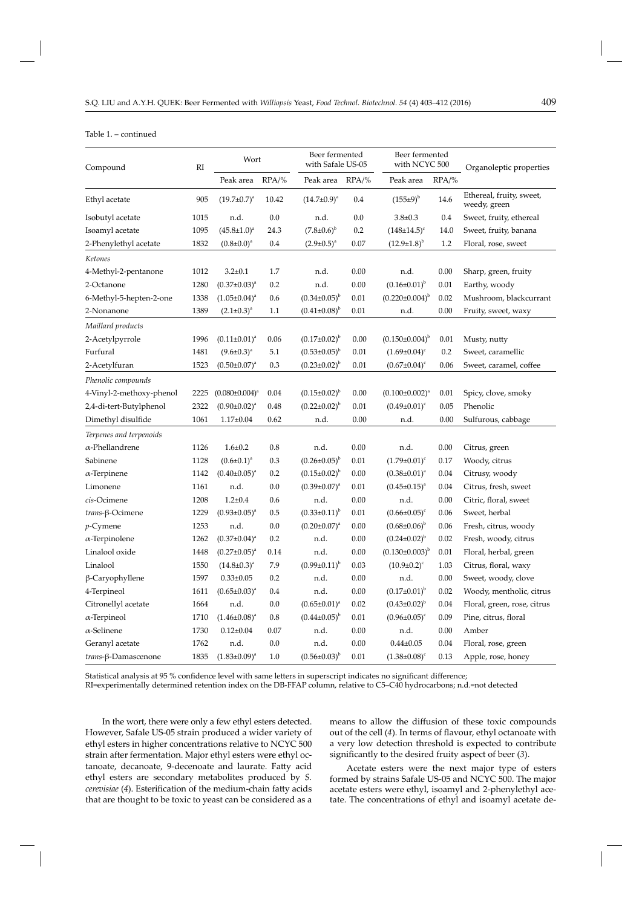#### Table 1. – continued

| Compound                 | R1   | Wort                  |           | Beer fermented<br>with Safale US-05 |          | Beer fermented<br>with NCYC 500 |          | Organoleptic properties                  |
|--------------------------|------|-----------------------|-----------|-------------------------------------|----------|---------------------------------|----------|------------------------------------------|
|                          |      | Peak area             | $RPA/\%$  | Peak area RPA/%                     |          | Peak area                       | $RPA/\%$ |                                          |
| Ethyl acetate            | 905  | $(19.7 \pm 0.7)^a$    | 10.42     | $(14.7 \pm 0.9)^a$                  | 0.4      | $(155±9)^{b}$                   | 14.6     | Ethereal, fruity, sweet,<br>weedy, green |
| Isobutyl acetate         | 1015 | n.d.                  | 0.0       | n.d.                                | 0.0      | $3.8 \pm 0.3$                   | 0.4      | Sweet, fruity, ethereal                  |
| Isoamyl acetate          | 1095 | $(45.8 \pm 1.0)^a$    | 24.3      | $(7.8 \pm 0.6)^{b}$                 | 0.2      | $(148\pm14.5)^c$                | 14.0     | Sweet, fruity, banana                    |
| 2-Phenylethyl acetate    | 1832 | $(0.8 \pm 0.0)^a$     | 0.4       | $(2.9 \pm 0.5)^{a}$                 | 0.07     | $(12.9\pm1.8)^{b}$              | 1.2      | Floral, rose, sweet                      |
| Ketones                  |      |                       |           |                                     |          |                                 |          |                                          |
| 4-Methyl-2-pentanone     | 1012 | $3.2 \pm 0.1$         | 1.7       | n.d.                                | 0.00     | n.d.                            | 0.00     | Sharp, green, fruity                     |
| 2-Octanone               | 1280 | $(0.37 \pm 0.03)^a$   | 0.2       | n.d.                                | 0.00     | $(0.16 \pm 0.01)^{b}$           | 0.01     | Earthy, woody                            |
| 6-Methyl-5-hepten-2-one  | 1338 | $(1.05 \pm 0.04)^a$   | 0.6       | $(0.34 \pm 0.05)^{b}$               | 0.01     | $(0.220 \pm 0.004)^{b}$         | 0.02     | Mushroom, blackcurrant                   |
| 2-Nonanone               | 1389 | $(2.1 \pm 0.3)^a$     | 1.1       | $(0.41\pm0.08)^{b}$                 | 0.01     | n.d.                            | 0.00     | Fruity, sweet, waxy                      |
| Maillard products        |      |                       |           |                                     |          |                                 |          |                                          |
| 2-Acetylpyrrole          | 1996 | $(0.11 \pm 0.01)^a$   | 0.06      | $(0.17 \pm 0.02)^{b}$               | 0.00     | $(0.150\pm0.004)^{b}$           | 0.01     | Musty, nutty                             |
| Furfural                 | 1481 | $(9.6 \pm 0.3)^a$     | 5.1       | $(0.53 \pm 0.05)^{b}$               | 0.01     | $(1.69 \pm 0.04)^c$             | 0.2      | Sweet, caramellic                        |
| 2-Acetylfuran            | 1523 | $(0.50 \pm 0.07)^a$   | 0.3       | $(0.23 \pm 0.02)^{b}$               | 0.01     | $(0.67 \pm 0.04)^c$             | 0.06     | Sweet, caramel, coffee                   |
| Phenolic compounds       |      |                       |           |                                     |          |                                 |          |                                          |
| 4-Vinyl-2-methoxy-phenol | 2225 | $(0.080 \pm 0.004)^a$ | 0.04      | $(0.15 \pm 0.02)^{b}$               | 0.00     | $(0.100 \pm 0.002)^a$           | 0.01     | Spicy, clove, smoky                      |
| 2,4-di-tert-Butylphenol  | 2322 | $(0.90 \pm 0.02)^a$   | 0.48      | $(0.22 \pm 0.02)^{b}$               | 0.01     | $(0.49 \pm 0.01)^c$             | 0.05     | Phenolic                                 |
| Dimethyl disulfide       | 1061 | $1.17 \pm 0.04$       | 0.62      | n.d.                                | 0.00     | n.d.                            | 0.00     | Sulfurous, cabbage                       |
| Terpenes and terpenoids  |      |                       |           |                                     |          |                                 |          |                                          |
| $\alpha$ -Phellandrene   | 1126 | $1.6 \pm 0.2$         | 0.8       | n.d.                                | 0.00     | n.d.                            | 0.00     | Citrus, green                            |
| Sabinene                 | 1128 | $(0.6 \pm 0.1)^a$     | 0.3       | $(0.26 \pm 0.05)^{b}$               | 0.01     | $(1.79 \pm 0.01)^c$             | 0.17     | Woody, citrus                            |
| $\alpha$ -Terpinene      | 1142 | $(0.40\pm0.05)^{a}$   | 0.2       | $(0.15 \pm 0.02)^{b}$               | 0.00     | $(0.38 \pm 0.01)^a$             | 0.04     | Citrusy, woody                           |
| Limonene                 | 1161 | n.d.                  | 0.0       | $(0.39 \pm 0.07)^a$                 | 0.01     | $(0.45 \pm 0.15)^a$             | 0.04     | Citrus, fresh, sweet                     |
| cis-Ocimene              | 1208 | $1.2 \pm 0.4$         | 0.6       | n.d.                                | 0.00     | n.d.                            | 0.00     | Citric, floral, sweet                    |
| trans-β-Ocimene          | 1229 | $(0.93 \pm 0.05)^{a}$ | 0.5       | $(0.33 \pm 0.11)^{b}$               | 0.01     | $(0.66 \pm 0.05)^c$             | 0.06     | Sweet, herbal                            |
| $p$ -Cymene              | 1253 | n.d.                  | 0.0       | $(0.20 \pm 0.07)^{a}$               | 0.00     | $(0.68 \pm 0.06)^{b}$           | 0.06     | Fresh, citrus, woody                     |
| $\alpha$ -Terpinolene    | 1262 | $(0.37 \pm 0.04)^a$   | 0.2       | n.d.                                | 0.00     | $(0.24 \pm 0.02)^{b}$           | 0.02     | Fresh, woody, citrus                     |
| Linalool oxide           | 1448 | $(0.27 \pm 0.05)^a$   | 0.14      | n.d.                                | 0.00     | $(0.130\pm0.003)^{b}$           | 0.01     | Floral, herbal, green                    |
| Linalool                 | 1550 | $(14.8 \pm 0.3)^a$    | 7.9       | $(0.99 \pm 0.11)^{b}$               | 0.03     | $(10.9 \pm 0.2)^c$              | 1.03     | Citrus, floral, waxy                     |
| β-Caryophyllene          | 1597 | $0.33 \pm 0.05$       | 0.2       | n.d.                                | 0.00     | n.d.                            | 0.00     | Sweet, woody, clove                      |
| 4-Terpineol              | 1611 | $(0.65 \pm 0.03)^a$   | 0.4       | n.d.                                | 0.00     | $(0.17 \pm 0.01)^{b}$           | 0.02     | Woody, mentholic, citrus                 |
| Citronellyl acetate      | 1664 | n.d.                  | $0.0\,$   | $(0.65 \pm 0.01)^a$                 | 0.02     | $(0.43 \pm 0.02)^{b}$           | 0.04     | Floral, green, rose, citrus              |
| $\alpha$ -Terpineol      | 1710 | $(1.46 \pm 0.08)^a$   | $\rm 0.8$ | $(0.44\pm0.05)^{b}$                 | $0.01\,$ | $(0.96 \pm 0.05)^c$             | 0.09     | Pine, citrus, floral                     |
| $\alpha$ -Selinene       | 1730 | $0.12 \pm 0.04$       | $0.07\,$  | n.d.                                | $0.00\,$ | n.d.                            | 0.00     | Amber                                    |
| Geranyl acetate          | 1762 | n.d.                  | $0.0\,$   | n.d.                                | $0.00\,$ | $0.44 \pm 0.05$                 | 0.04     | Floral, rose, green                      |
| trans-β-Damascenone      | 1835 | $(1.83 \pm 0.09)^a$   | $1.0\,$   | $(0.56 \pm 0.03)^{b}$               | $0.01\,$ | $(1.38 \pm 0.08)^c$             | 0.13     | Apple, rose, honey                       |

Statistical analysis at 95 % confidence level with same letters in superscript indicates no significant difference;

RI=experimentally determined retention index on the DB-FFAP column, relative to C5–C40 hydrocarbons; n.d.=not detected

In the wort, there were only a few ethyl esters detected. However, Safale US-05 strain produced a wider variety of ethyl esters in higher concentrations relative to NCYC 500 strain after fermentation. Major ethyl esters were ethyl octanoate, decanoate, 9-decenoate and laurate. Fatty acid ethyl esters are secondary metabolites produced by *S. cerevisiae* (4). Esterification of the medium-chain fatty acids that are thought to be toxic to yeast can be considered as a

means to allow the diffusion of these toxic compounds out of the cell (4). In terms of flavour, ethyl octanoate with a very low detection threshold is expected to contribute significantly to the desired fruity aspect of beer (3).

Acetate esters were the next major type of esters formed by strains Safale US-05 and NCYC 500. The major acetate esters were ethyl, isoamyl and 2-phenylethyl acetate. The concentrations of ethyl and isoamyl acetate de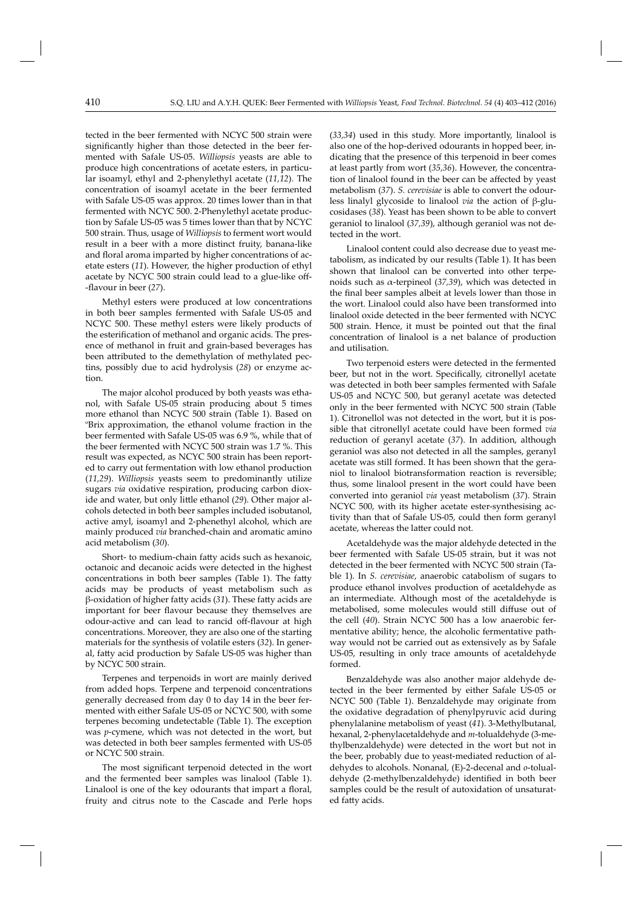tected in the beer fermented with NCYC 500 strain were significantly higher than those detected in the beer fermented with Safale US-05. *Williopsis* yeasts are able to produce high concentrations of acetate esters, in particular isoamyl, ethyl and 2-phenylethyl acetate (*11,12*). The concentration of isoamyl acetate in the beer fermented with Safale US-05 was approx. 20 times lower than in that fermented with NCYC 500. 2-Phenylethyl acetate production by Safale US-05 was 5 times lower than that by NCYC 500 strain. Thus, usage of *Williopsis* to ferment wort would result in a beer with a more distinct fruity, banana-like and floral aroma imparted by higher concentrations of acetate esters (*11*). However, the higher production of ethyl acetate by NCYC 500 strain could lead to a glue-like off--fl avour in beer (*27*).

Methyl esters were produced at low concentrations in both beer samples fermented with Safale US-05 and NCYC 500. These methyl esters were likely products of the esterification of methanol and organic acids. The presence of methanol in fruit and grain-based beverages has been attributed to the demethylation of methylated pectins, possibly due to acid hydrolysis (*28*) or enzyme action.

The major alcohol produced by both yeasts was ethanol, with Safale US-05 strain producing about 5 times more ethanol than NCYC 500 strain (Table 1). Based on <sup>o</sup>Brix approximation, the ethanol volume fraction in the beer fermented with Safale US-05 was 6.9 %, while that of the beer fermented with NCYC 500 strain was 1.7 %. This result was expected, as NCYC 500 strain has been reported to carry out fermentation with low ethanol production (*11,29*). *Williopsis* yeasts seem to predominantly utilize sugars *via* oxidative respiration, producing carbon dioxide and water, but only little ethanol (29). Other major alcohols detected in both beer samples included isobutanol, active amyl, isoamyl and 2-phenethyl alcohol, which are mainly produced *via* branched-chain and aromatic amino acid metabolism (*30*).

Short- to medium-chain fatty acids such as hexanoic, octanoic and decanoic acids were detected in the highest concentrations in both beer samples (Table 1). The fatty acids may be products of yeast metabolism such as β-oxidation of higher fatty acids (31). These fatty acids are important for beer flavour because they themselves are odour-active and can lead to rancid off -flavour at high concentrations. Moreover, they are also one of the starting materials for the synthesis of volatile esters (*32*). In general, fatty acid production by Safale US-05 was higher than by NCYC 500 strain.

Terpenes and terpenoids in wort are mainly derived from added hops. Terpene and terpenoid concentrations generally decreased from day 0 to day 14 in the beer fermented with either Safale US-05 or NCYC 500, with some terpenes becoming undetectable (Table 1). The exception was *p*-cymene, which was not detected in the wort, but was detected in both beer samples fermented with US-05 or NCYC 500 strain.

The most significant terpenoid detected in the wort and the fermented beer samples was linalool (Table 1). Linalool is one of the key odourants that impart a floral, fruity and citrus note to the Cascade and Perle hops

(*33,34*) used in this study. More importantly, linalool is also one of the hop-derived odourants in hopped beer, indicating that the presence of this terpenoid in beer comes at least partly from wort (*35,36*). However, the concentration of linalool found in the beer can be affected by yeast metabolism (*37*). *S. cerevisiae* is able to convert the odourless linalyl glycoside to linalool *via* the action of β-glucosidases (*38*). Yeast has been shown to be able to convert geraniol to linalool (*37,39*), although geraniol was not detected in the wort.

Linalool content could also decrease due to yeast metabolism, as indicated by our results (Table 1). It has been shown that linalool can be converted into other terpenoids such as α-terpineol (*37,39*), which was detected in the final beer samples albeit at levels lower than those in the wort. Linalool could also have been transformed into linalool oxide detected in the beer fermented with NCYC 500 strain. Hence, it must be pointed out that the final concentration of linalool is a net balance of production and utilisation.

Two terpenoid esters were detected in the fermented beer, but not in the wort. Specifically, citronellyl acetate was detected in both beer samples fermented with Safale US-05 and NCYC 500, but geranyl acetate was detected only in the beer fermented with NCYC 500 strain (Table 1). Citronellol was not detected in the wort, but it is possible that citronellyl acetate could have been formed *via* reduction of geranyl acetate (*37*). In addition, although geraniol was also not detected in all the samples, geranyl acetate was still formed. It has been shown that the geraniol to linalool biotransformation reaction is reversible; thus, some linalool present in the wort could have been converted into geraniol *via* yeast metabolism (*37*). Strain NCYC 500, with its higher acetate ester-synthesising activity than that of Safale US-05, could then form geranyl acetate, whereas the latter could not.

Acetaldehyde was the major aldehyde detected in the beer fermented with Safale US-05 strain, but it was not detected in the beer fermented with NCYC 500 strain (Table 1). In *S. cerevisiae*, anaerobic catabolism of sugars to produce ethanol involves production of acetaldehyde as an intermediate. Although most of the acetaldehyde is metabolised, some molecules would still diffuse out of the cell (*40*). Strain NCYC 500 has a low anaerobic fermentative ability; hence, the alcoholic fermentative pathway would not be carried out as extensively as by Safale US-05, resulting in only trace amounts of acetaldehyde formed.

Benzaldehyde was also another major aldehyde detected in the beer fermented by either Safale US-05 or NCYC 500 (Table 1). Benzaldehyde may originate from the oxidative degradation of phenylpyruvic acid during phenylalanine metabolism of yeast (41). 3-Methylbutanal, hexa nal, 2-phenylacetaldehyde and *m*-tolualdehyde (3-me thylbenzaldehyde) were detected in the wort but not in the beer, probably due to yeast-mediated reduction of aldehydes to alcohols. Nonanal, (E)-2-decenal and *o*-tolualdehyde (2-methylbenzaldehyde) identified in both beer samples could be the result of autoxidation of unsaturated fatty acids.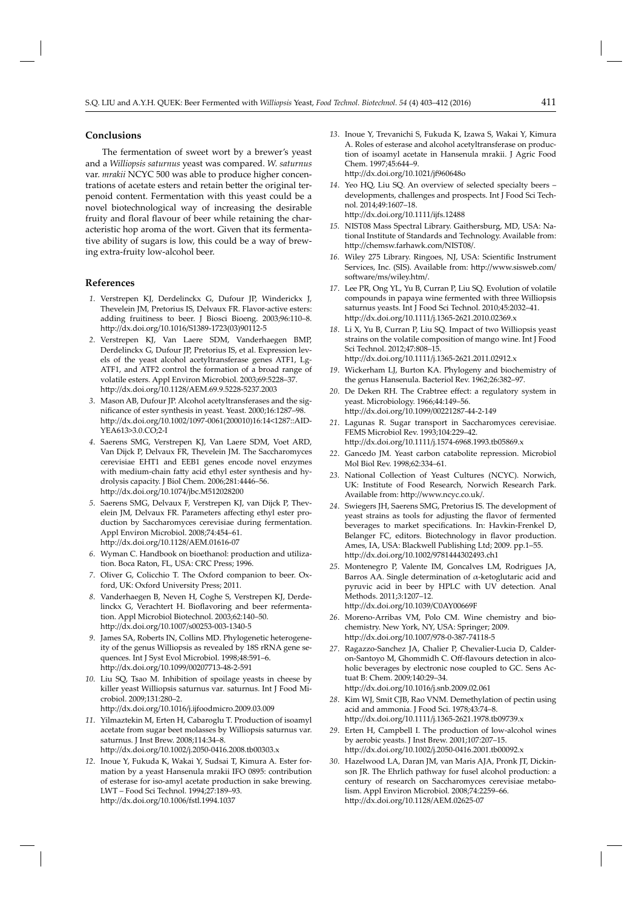# **Conclusions**

The fermentation of sweet wort by a brewer's yeast and a *Williopsis saturnus* yeast was compared. *W. saturnus*  var. *mrakii* NCYC 500 was able to produce higher concentrations of acetate esters and retain better the original terpenoid content. Fermentation with this yeast could be a novel biotechnological way of increasing the desirable fruity and floral flavour of beer while retaining the characteristic hop aroma of the wort. Given that its fermentative ability of sugars is low, this could be a way of brewing extra-fruity low-alcohol beer.

#### **References**

- *1*. Ve rstrepen KJ, Derdelinckx G, Dufour JP, Winderickx J, Thevelein JM, Pretorius IS, Delvaux FR. Flavor-active esters: adding fruitiness to beer. J Biosci Bioeng. 2003;96:110–8. http://dx.doi.org/10.1016/S1389-1723(03)90112-5
- *2*. Ve rstrepen KJ, Van Laere SDM, Vanderhaegen BMP, Derdelinckx G, Dufour JP, Pretorius IS, et al. Expression levels of the yeast alcohol acetyltransferase genes ATF1, Lg-ATF1, and ATF2 control the formation of a broad range of volatile esters. Appl Environ Microbiol. 2003;69:5228–37. http://dx.doi.org/10.1128/AEM.69.9.5228-5237.2003
- *3*. Mason AB, Dufour JP. Alcohol acetyltransferases and the significance of ester synthesis in yeast. Yeast. 2000;16:1287-98. http://dx.doi.org/10.1002/1097-0061(200010)16:14<1287::AID-YEA613>3.0.CO;2-I
- *4*. Sa erens SMG, Verstrepen KJ, Van Laere SDM, Voet ARD, Van Dijck P, Delvaux FR, Thevelein JM. The Saccharomyces cerevisiae EHT1 and EEB1 genes encode novel enzymes with medium-chain fatty acid ethyl ester synthesis and hydrolysis capacity. J Biol Chem. 2006;281:4446–56. http://dx.doi.org/10.1074/jbc.M512028200
- 5. Saerens SMG, Delvaux F, Verstrepen KJ, van Dijck P, Thevelein JM, Delvaux FR. Parameters affecting ethyl ester production by Saccharomyces cerevisiae during fermentation. Appl Environ Microbiol. 2008;74:454–61. http://dx.doi.org/10.1128/AEM.01616-07
- *6*. Wy man C. Handbook on bioethanol: production and utilization. Boca Raton, FL, USA: CRC Press; 1996.
- *7*. Oliver G, Colicchio T. The Oxford companion to beer. Oxford, UK: Oxford University Press; 2011.
- 8. Vanderhaegen B, Neven H, Coghe S, Verstrepen KJ, Derdelinckx G, Verachtert H. Bioflavoring and beer refermentation. Appl Microbiol Biotechnol. 2003;62:140–50. http://dx.doi.org/10.1007/s00253-003-1340-5
- *9*. James SA, Roberts IN, Collins MD. Phylogenetic heterogeneity of the genus Williopsis as revealed by 18S rRNA gene sequences. Int J Syst Evol Microbiol. 1998;48:591–6. http://dx.doi.org/10.1099/00207713-48-2-591
- 10. Liu SQ, Tsao M. Inhibition of spoilage yeasts in cheese by killer yeast Williopsis saturnus var*.* saturnus. Int J Food Microbiol. 2009;131:280–2. htt p://dx.doi.org/10.1016/j.ij foodmicro.2009.03.009
- 11. Yilmaztekin M, Erten H, Cabaroglu T. Production of isoamyl acetate from sugar beet molasses by Williopsis saturnus var. saturnus. J Inst Brew. 2008;114:34–8. http://dx.doi.org/10.1002/j.2050-0416.2008.tb00303.x
- *12*. Inoue Y, Fukuda K, Wakai Y, Sudsai T, Kimura A. Ester formation by a yeast Hansenula mrakii IFO 0895: contribution of esterase for iso-amyl acetate production in sake brewing. LWT – Food Sci Technol. 1994;27:189–93. http://dx.doi.org/10.1006/fstl.1994.1037
- 13. Inoue Y, Trevanichi S, Fukuda K, Izawa S, Wakai Y, Kimura A. Roles of esterase and alcohol acetyltransferase on production of isoamyl acetate in Hansenula mrakii. J Agric Food Chem. 1997;45:644–9. http://dx.doi.org/10.1021/jf960648o
- *14*. Yeo HQ, Liu SQ. An overview of selected specialty beers developments, challenges and prospects. Int J Food Sci Technol. 2014;49:1607–18. http://dx.doi.org/10.1111/ijfs.12488
- *15.* NIST08 Mass Spectral Library. Gaithersburg, MD, USA: National Institute of Standards and Technology. Available from: http://chemsw.farhawk.com/NIST08/.
- 16. Wiley 275 Library. Ringoes, NJ, USA: Scientific Instrument Services, Inc. (SIS). Available from: http://www.sisweb.com/ soft ware/ms/wiley.htm/.
- 17. Lee PR, Ong YL, Yu B, Curran P, Liu SQ. Evolution of volatile compounds in papaya wine fermented with three Williopsis saturnus yeasts. Int J Food Sci Technol. 2010;45:2032–41. http://dx.doi.org/10.1111/j.1365-2621.2010.02369.x
- 18. Li X, Yu B, Curran P, Liu SQ. Impact of two Williopsis yeast strains on the volatile composition of mango wine. Int J Food Sci Technol. 2012;47:808–15. http://dx.doi.org/10.1111/j.1365-2621.2011.02912.x
- *19*. W ickerham LJ, Burton KA. Phylogeny and biochemistry of the genus Hansenula. Bacteriol Rev. 1962;26:382–97.
- 20. De Deken RH. The Crabtree effect: a regulatory system in yeast. Microbiology. 1966;44:149–56. http://dx.doi.org/10.1099/00221287-44-2-149
- 21. Lagunas R. Sugar transport in Saccharomyces cerevisiae. FEMS Microbiol Rev. 1993;104:229–42. http://dx.doi.org/10.1111/j.1574-6968.1993.tb05869.x
- *22*. Gancedo JM. Yeast carbon catabolite repression. Microbiol Mol Biol Rev. 1998;62:334–61.
- 23. National Collection of Yeast Cultures (NCYC). Norwich, UK: Institute of Food Research, Norwich Research Park. Available from: http://www.ncyc.co.uk/.
- *24*. Swiegers JH, Saerens SMG, Pretorius IS. The development of yeast strains as tools for adjusting the flavor of fermented beverages to market specifications. In: Havkin-Frenkel D, Belanger FC, editors. Biotechnology in flavor production. Ames, IA, USA: Blackwell Publishing Ltd; 2009. pp.1–55. http://dx.doi.org/10.1002/9781444302493.ch1
- 25. Montenegro P, Valente IM, Goncalves LM, Rodrigues JA, Barros AA. Single determination of  $\alpha$ -ketoglutaric acid and pyruvic acid in beer by HPLC with UV detection. Anal Methods. 2011;3:1207–12. http://dx.doi.org/10.1039/C0AY00669F
- 26. Moreno-Arribas VM, Polo CM. Wine chemistry and biochemistry. New York, NY, USA: Springer; 2009. http://dx.doi.org/10.1007/978-0-387-74118-5
- 27. Ragazzo-Sanchez JA, Chalier P, Chevalier-Lucia D, Calderon-Santoyo M, Ghommidh C. Off-flavours detection in alcoholic beverages by electronic nose coupled to GC. Sens Actuat B: Chem. 2009*;*140:29–34. http://dx.doi.org/10.1016/j.snb.2009.02.061
- *28*. Kim WJ, Smit CJB, Rao VNM. Demethylation of pectin using acid and ammonia. J Food Sci. 1978;43:74–8. http://dx.doi.org/10.1111/j.1365-2621.1978.tb09739.x
- 29. Erten H, Campbell I. The production of low-alcohol wines by aerobic yeasts. J Inst Brew. 2001;107:207–15. http://dx.doi.org/10.1002/j.2050-0416.2001.tb00092.x
- 30. Hazelwood LA, Daran JM, van Maris AJA, Pronk JT, Dickinson JR. The Ehrlich pathway for fusel alcohol production: a century of research on Saccharomyces cerevisiae metabolism. Appl Environ Microbiol. 2008;74:2259–66. http://dx.doi.org/10.1128/AEM.02625-07